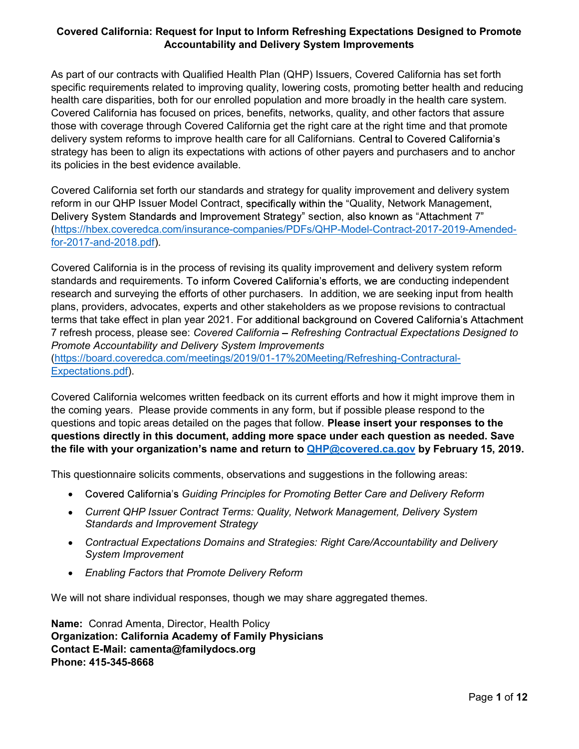As part of our contracts with Qualified Health Plan (QHP) Issuers, Covered California has set forth specific requirements related to improving quality, lowering costs, promoting better health and reducing health care disparities, both for our enrolled population and more broadly in the health care system. Covered California has focused on prices, benefits, networks, quality, and other factors that assure those with coverage through Covered California get the right care at the right time and that promote delivery system reforms to improve health care for all Californians. Central to Covered California's strategy has been to align its expectations with actions of other payers and purchasers and to anchor its policies in the best evidence available.

Covered California set forth our standards and strategy for quality improvement and delivery system reform in our QHP Issuer Model Contract, specifically within the "Quality, Network Management, Delivery System Standards and Improvement Strategy" section, also known as "Attachment 7" (https://hbex.coveredca.com/insurance-companies/PDFs/QHP-Model-Contract-2017-2019-Amendedfor-2017-and-2018.pdf).

Covered California is in the process of revising its quality improvement and delivery system reform standards and requirements. To inform Covered California's efforts, we are conducting independent research and surveying the efforts of other purchasers. In addition, we are seeking input from health plans, providers, advocates, experts and other stakeholders as we propose revisions to contractual terms that take effect in plan year 2021. For additional background on Covered California's Attachment 7 refresh process, please see: Covered California - Refreshing Contractual Expectations Designed to Promote Accountability and Delivery System Improvements (https://board.coveredca.com/meetings/2019/01-17%20Meeting/Refreshing-Contractural-Expectations.pdf).

Covered California welcomes written feedback on its current efforts and how it might improve them in the coming years. Please provide comments in any form, but if possible please respond to the questions and topic areas detailed on the pages that follow. Please insert your responses to the questions directly in this document, adding more space under each question as needed. Save the file with your organization's name and return to  $QHP@covered.ca.gov$  by February 15, 2019.

This questionnaire solicits comments, observations and suggestions in the following areas:

- Covered California's Guiding Principles for Promoting Better Care and Delivery Reform
- Current QHP Issuer Contract Terms: Quality, Network Management, Delivery System Standards and Improvement Strategy
- Contractual Expectations Domains and Strategies: Right Care/Accountability and Delivery System Improvement
- Enabling Factors that Promote Delivery Reform

We will not share individual responses, though we may share aggregated themes.

Name: Conrad Amenta, Director, Health Policy Organization: California Academy of Family Physicians Contact E-Mail: camenta@familydocs.org Phone: 415-345-8668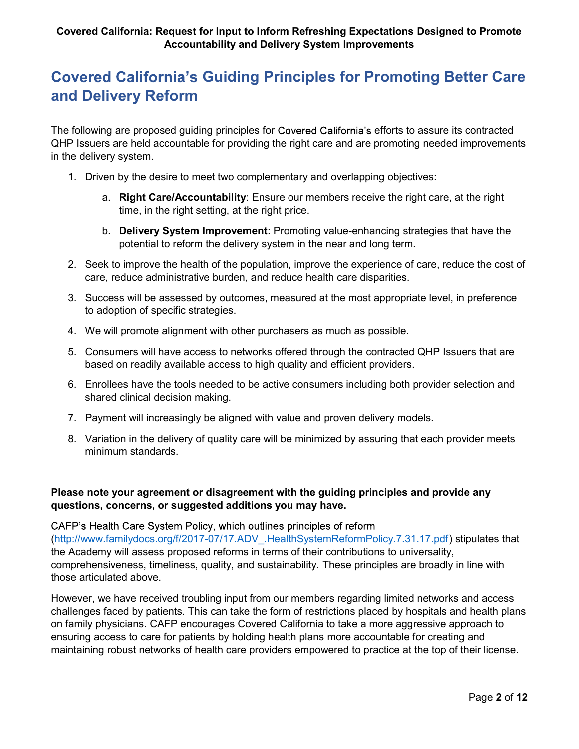# **Covered California's Guiding Principles for Promoting Better Care** and Delivery Reform

The following are proposed quiding principles for Covered California's efforts to assure its contracted QHP Issuers are held accountable for providing the right care and are promoting needed improvements in the delivery system.

- 1. Driven by the desire to meet two complementary and overlapping objectives:
	- a. Right Care/Accountability: Ensure our members receive the right care, at the right time, in the right setting, at the right price.
	- b. Delivery System Improvement: Promoting value-enhancing strategies that have the potential to reform the delivery system in the near and long term.
- 2. Seek to improve the health of the population, improve the experience of care, reduce the cost of care, reduce administrative burden, and reduce health care disparities.
- 3. Success will be assessed by outcomes, measured at the most appropriate level, in preference to adoption of specific strategies.
- 4. We will promote alignment with other purchasers as much as possible.
- 5. Consumers will have access to networks offered through the contracted QHP Issuers that are based on readily available access to high quality and efficient providers.
- 6. Enrollees have the tools needed to be active consumers including both provider selection and shared clinical decision making.
- 7. Payment will increasingly be aligned with value and proven delivery models.
- 8. Variation in the delivery of quality care will be minimized by assuring that each provider meets minimum standards.

## Please note your agreement or disagreement with the guiding principles and provide any questions, concerns, or suggested additions you may have.

CAFP's Health Care System Policy, which outlines principles of reform (http://www.familydocs.org/f/2017-07/17.ADV\_.HealthSystemReformPolicy.7.31.17.pdf) stipulates that the Academy will assess proposed reforms in terms of their contributions to universality, comprehensiveness, timeliness, quality, and sustainability. These principles are broadly in line with those articulated above.

However, we have received troubling input from our members regarding limited networks and access challenges faced by patients. This can take the form of restrictions placed by hospitals and health plans on family physicians. CAFP encourages Covered California to take a more aggressive approach to ensuring access to care for patients by holding health plans more accountable for creating and maintaining robust networks of health care providers empowered to practice at the top of their license.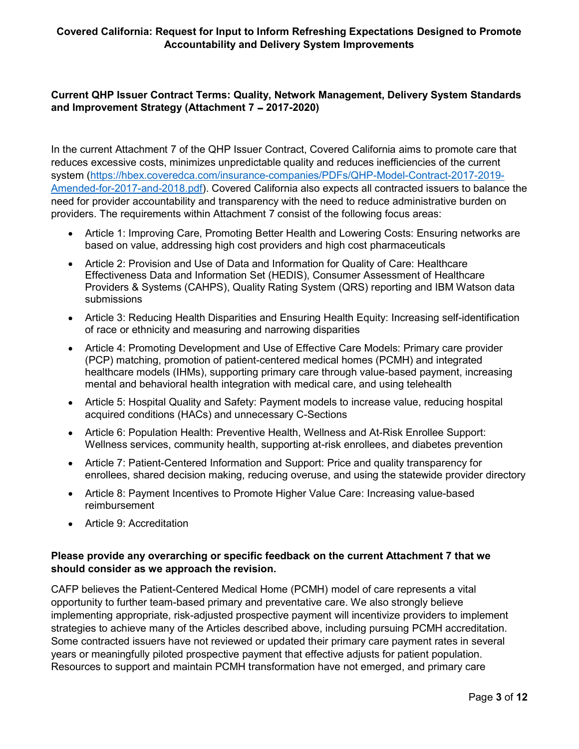## Current QHP Issuer Contract Terms: Quality, Network Management, Delivery System Standards and Improvement Strategy (Attachment  $7 - 2017-2020$ )

In the current Attachment 7 of the QHP Issuer Contract, Covered California aims to promote care that reduces excessive costs, minimizes unpredictable quality and reduces inefficiencies of the current system (https://hbex.coveredca.com/insurance-companies/PDFs/QHP-Model-Contract-2017-2019- Amended-for-2017-and-2018.pdf). Covered California also expects all contracted issuers to balance the need for provider accountability and transparency with the need to reduce administrative burden on providers. The requirements within Attachment 7 consist of the following focus areas:

- Article 1: Improving Care, Promoting Better Health and Lowering Costs: Ensuring networks are based on value, addressing high cost providers and high cost pharmaceuticals
- Article 2: Provision and Use of Data and Information for Quality of Care: Healthcare Effectiveness Data and Information Set (HEDIS), Consumer Assessment of Healthcare Providers & Systems (CAHPS), Quality Rating System (QRS) reporting and IBM Watson data submissions
- Article 3: Reducing Health Disparities and Ensuring Health Equity: Increasing self-identification of race or ethnicity and measuring and narrowing disparities
- Article 4: Promoting Development and Use of Effective Care Models: Primary care provider (PCP) matching, promotion of patient-centered medical homes (PCMH) and integrated healthcare models (IHMs), supporting primary care through value-based payment, increasing mental and behavioral health integration with medical care, and using telehealth
- Article 5: Hospital Quality and Safety: Payment models to increase value, reducing hospital acquired conditions (HACs) and unnecessary C-Sections
- Article 6: Population Health: Preventive Health, Wellness and At-Risk Enrollee Support: Wellness services, community health, supporting at-risk enrollees, and diabetes prevention
- Article 7: Patient-Centered Information and Support: Price and quality transparency for enrollees, shared decision making, reducing overuse, and using the statewide provider directory
- Article 8: Payment Incentives to Promote Higher Value Care: Increasing value-based reimbursement
- Article 9: Accreditation

## Please provide any overarching or specific feedback on the current Attachment 7 that we should consider as we approach the revision.

CAFP believes the Patient-Centered Medical Home (PCMH) model of care represents a vital opportunity to further team-based primary and preventative care. We also strongly believe implementing appropriate, risk-adjusted prospective payment will incentivize providers to implement strategies to achieve many of the Articles described above, including pursuing PCMH accreditation. Some contracted issuers have not reviewed or updated their primary care payment rates in several years or meaningfully piloted prospective payment that effective adjusts for patient population. Resources to support and maintain PCMH transformation have not emerged, and primary care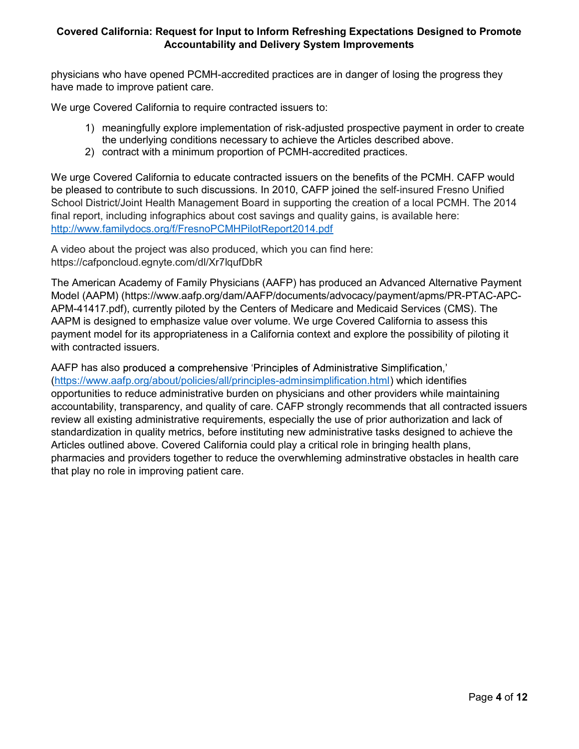physicians who have opened PCMH-accredited practices are in danger of losing the progress they have made to improve patient care.

We urge Covered California to require contracted issuers to:

- 1) meaningfully explore implementation of risk-adjusted prospective payment in order to create the underlying conditions necessary to achieve the Articles described above.
- 2) contract with a minimum proportion of PCMH-accredited practices.

We urge Covered California to educate contracted issuers on the benefits of the PCMH. CAFP would be pleased to contribute to such discussions. In 2010, CAFP joined the self-insured Fresno Unified School District/Joint Health Management Board in supporting the creation of a local PCMH. The 2014 final report, including infographics about cost savings and quality gains, is available here: http://www.familydocs.org/f/FresnoPCMHPilotReport2014.pdf

A video about the project was also produced, which you can find here: https://cafponcloud.egnyte.com/dl/Xr7lqufDbR

The American Academy of Family Physicians (AAFP) has produced an Advanced Alternative Payment Model (AAPM) (https://www.aafp.org/dam/AAFP/documents/advocacy/payment/apms/PR-PTAC-APC-APM-41417.pdf), currently piloted by the Centers of Medicare and Medicaid Services (CMS). The AAPM is designed to emphasize value over volume. We urge Covered California to assess this payment model for its appropriateness in a California context and explore the possibility of piloting it with contracted issuers.

AAFP has also produced a comprehensive 'Principles of Administrative Simplification,' (https://www.aafp.org/about/policies/all/principles-adminsimplification.html) which identifies opportunities to reduce administrative burden on physicians and other providers while maintaining accountability, transparency, and quality of care. CAFP strongly recommends that all contracted issuers review all existing administrative requirements, especially the use of prior authorization and lack of standardization in quality metrics, before instituting new administrative tasks designed to achieve the Articles outlined above. Covered California could play a critical role in bringing health plans, pharmacies and providers together to reduce the overwhleming adminstrative obstacles in health care that play no role in improving patient care.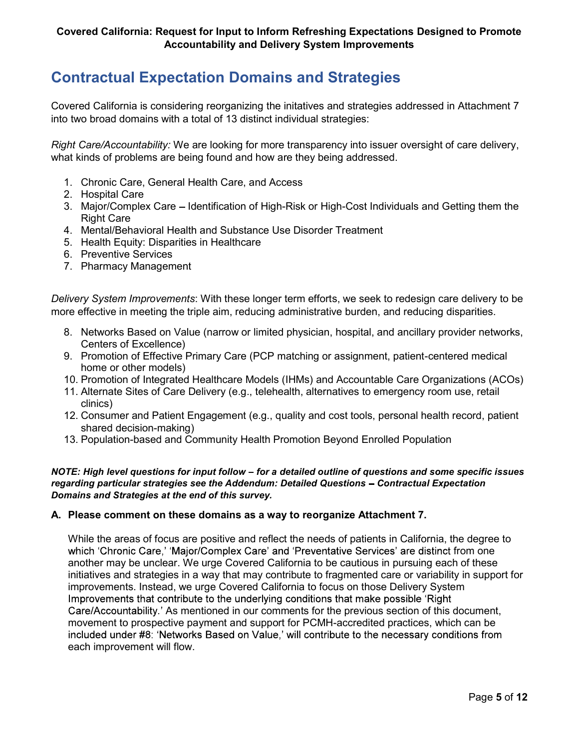## Contractual Expectation Domains and Strategies

Covered California is considering reorganizing the initatives and strategies addressed in Attachment 7 into two broad domains with a total of 13 distinct individual strategies:

Right Care/Accountability: We are looking for more transparency into issuer oversight of care delivery, what kinds of problems are being found and how are they being addressed.

- 1. Chronic Care, General Health Care, and Access
- 2. Hospital Care
- 3. Major/Complex Care Identification of High-Risk or High-Cost Individuals and Getting them the Right Care
- 4. Mental/Behavioral Health and Substance Use Disorder Treatment
- 5. Health Equity: Disparities in Healthcare
- 6. Preventive Services
- 7. Pharmacy Management

Delivery System Improvements: With these longer term efforts, we seek to redesign care delivery to be more effective in meeting the triple aim, reducing administrative burden, and reducing disparities.

- 8. Networks Based on Value (narrow or limited physician, hospital, and ancillary provider networks, Centers of Excellence)
- 9. Promotion of Effective Primary Care (PCP matching or assignment, patient-centered medical home or other models)
- 10. Promotion of Integrated Healthcare Models (IHMs) and Accountable Care Organizations (ACOs)
- 11. Alternate Sites of Care Delivery (e.g., telehealth, alternatives to emergency room use, retail clinics)
- 12. Consumer and Patient Engagement (e.g., quality and cost tools, personal health record, patient shared decision-making)
- 13. Population-based and Community Health Promotion Beyond Enrolled Population

### NOTE: High level questions for input follow – for a detailed outline of questions and some specific issues regarding particular strategies see the Addendum: Detailed Questions - Contractual Expectation Domains and Strategies at the end of this survey.

## A. Please comment on these domains as a way to reorganize Attachment 7.

While the areas of focus are positive and reflect the needs of patients in California, the degree to which 'Chronic Care,' 'Major/Complex Care' and 'Preventative Services' are distinct from one another may be unclear. We urge Covered California to be cautious in pursuing each of these initiatives and strategies in a way that may contribute to fragmented care or variability in support for improvements. Instead, we urge Covered California to focus on those Delivery System Improvements that contribute to the underlying conditions that make possible 'Right' Care/Accountability.' As mentioned in our comments for the previous section of this document, movement to prospective payment and support for PCMH-accredited practices, which can be included under #8: 'Networks Based on Value,' will contribute to the necessary conditions from each improvement will flow.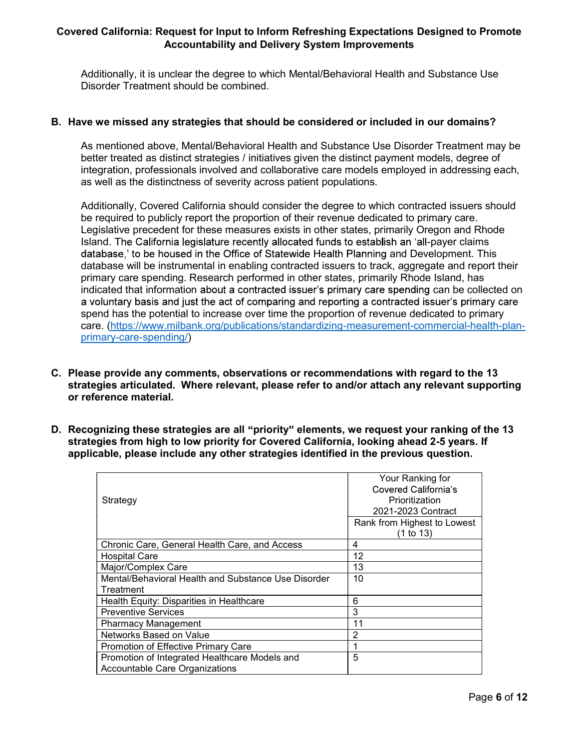Additionally, it is unclear the degree to which Mental/Behavioral Health and Substance Use Disorder Treatment should be combined.

### B. Have we missed any strategies that should be considered or included in our domains?

As mentioned above, Mental/Behavioral Health and Substance Use Disorder Treatment may be better treated as distinct strategies / initiatives given the distinct payment models, degree of integration, professionals involved and collaborative care models employed in addressing each, as well as the distinctness of severity across patient populations.

Additionally, Covered California should consider the degree to which contracted issuers should be required to publicly report the proportion of their revenue dedicated to primary care. Legislative precedent for these measures exists in other states, primarily Oregon and Rhode Island. The California legislature recently allocated funds to establish an 'all-payer claims database,' to be housed in the Office of Statewide Health Planning and Development. This database will be instrumental in enabling contracted issuers to track, aggregate and report their primary care spending. Research performed in other states, primarily Rhode Island, has indicated that information about a contracted issuer's primary care spending can be collected on a voluntary basis and just the act of comparing and reporting a contracted issuer's primary care spend has the potential to increase over time the proportion of revenue dedicated to primary care. (https://www.milbank.org/publications/standardizing-measurement-commercial-health-planprimary-care-spending/)

- C. Please provide any comments, observations or recommendations with regard to the 13 strategies articulated. Where relevant, please refer to and/or attach any relevant supporting or reference material.
- D. Recognizing these strategies are all "priority" elements, we request your ranking of the 13 strategies from high to low priority for Covered California, looking ahead 2-5 years. If applicable, please include any other strategies identified in the previous question.

| Strategy                                            | Your Ranking for<br>Covered California's<br>Prioritization<br>2021-2023 Contract<br>Rank from Highest to Lowest |
|-----------------------------------------------------|-----------------------------------------------------------------------------------------------------------------|
|                                                     | (1 to 13)                                                                                                       |
| Chronic Care, General Health Care, and Access       | 4                                                                                                               |
| <b>Hospital Care</b>                                | 12                                                                                                              |
| Major/Complex Care                                  | 13                                                                                                              |
| Mental/Behavioral Health and Substance Use Disorder | 10                                                                                                              |
| Treatment                                           |                                                                                                                 |
| Health Equity: Disparities in Healthcare            | 6                                                                                                               |
| <b>Preventive Services</b>                          | 3                                                                                                               |
| <b>Pharmacy Management</b>                          | 11                                                                                                              |
| Networks Based on Value                             | $\overline{2}$                                                                                                  |
| <b>Promotion of Effective Primary Care</b>          |                                                                                                                 |
| Promotion of Integrated Healthcare Models and       | 5                                                                                                               |
| <b>Accountable Care Organizations</b>               |                                                                                                                 |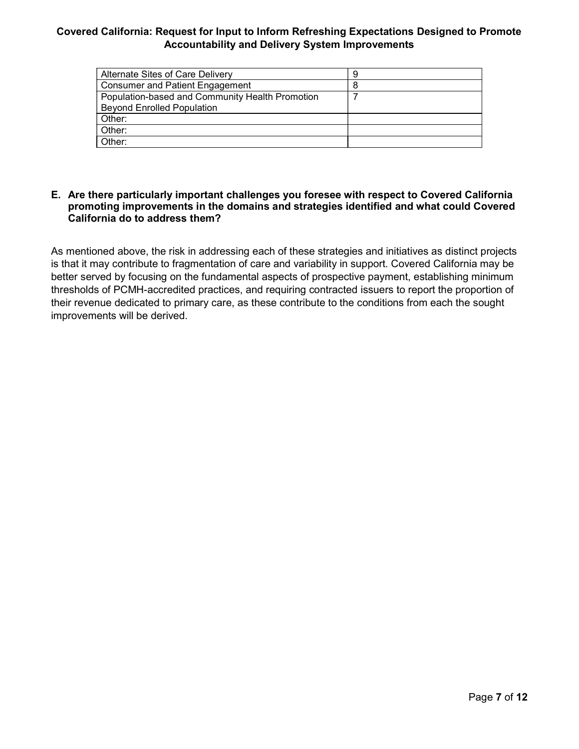| Alternate Sites of Care Delivery                |  |
|-------------------------------------------------|--|
| <b>Consumer and Patient Engagement</b>          |  |
| Population-based and Community Health Promotion |  |
| <b>Beyond Enrolled Population</b>               |  |
| Other:                                          |  |
| Other:                                          |  |
| Other:                                          |  |

### E. Are there particularly important challenges you foresee with respect to Covered California promoting improvements in the domains and strategies identified and what could Covered California do to address them?

As mentioned above, the risk in addressing each of these strategies and initiatives as distinct projects is that it may contribute to fragmentation of care and variability in support. Covered California may be better served by focusing on the fundamental aspects of prospective payment, establishing minimum thresholds of PCMH-accredited practices, and requiring contracted issuers to report the proportion of their revenue dedicated to primary care, as these contribute to the conditions from each the sought improvements will be derived.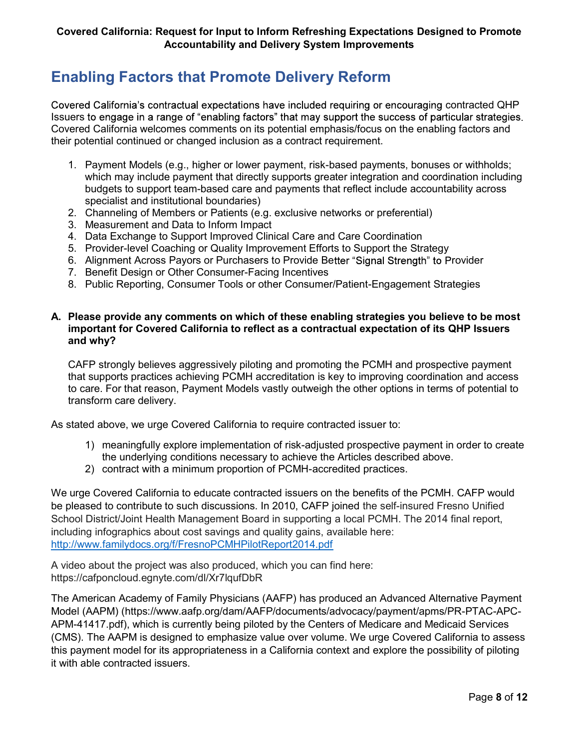## Enabling Factors that Promote Delivery Reform

Covered California's contractual expectations have included requiring or encouraging contracted QHP Issuers to engage in a range of "enabling factors" that may support the success of particular strategies. Covered California welcomes comments on its potential emphasis/focus on the enabling factors and their potential continued or changed inclusion as a contract requirement.

- 1. Payment Models (e.g., higher or lower payment, risk-based payments, bonuses or withholds; which may include payment that directly supports greater integration and coordination including budgets to support team-based care and payments that reflect include accountability across specialist and institutional boundaries)
- 2. Channeling of Members or Patients (e.g. exclusive networks or preferential)
- 3. Measurement and Data to Inform Impact
- 4. Data Exchange to Support Improved Clinical Care and Care Coordination
- 5. Provider-level Coaching or Quality Improvement Efforts to Support the Strategy
- 6. Alignment Across Payors or Purchasers to Provide Better "Signal Strength" to Provider
- 7. Benefit Design or Other Consumer-Facing Incentives
- 8. Public Reporting, Consumer Tools or other Consumer/Patient-Engagement Strategies

### A. Please provide any comments on which of these enabling strategies you believe to be most important for Covered California to reflect as a contractual expectation of its QHP Issuers and why?

CAFP strongly believes aggressively piloting and promoting the PCMH and prospective payment that supports practices achieving PCMH accreditation is key to improving coordination and access to care. For that reason, Payment Models vastly outweigh the other options in terms of potential to transform care delivery.

As stated above, we urge Covered California to require contracted issuer to:

- 1) meaningfully explore implementation of risk-adjusted prospective payment in order to create the underlying conditions necessary to achieve the Articles described above.
- 2) contract with a minimum proportion of PCMH-accredited practices.

We urge Covered California to educate contracted issuers on the benefits of the PCMH. CAFP would be pleased to contribute to such discussions. In 2010, CAFP joined the self-insured Fresno Unified School District/Joint Health Management Board in supporting a local PCMH. The 2014 final report, including infographics about cost savings and quality gains, available here: http://www.familydocs.org/f/FresnoPCMHPilotReport2014.pdf

A video about the project was also produced, which you can find here: https://cafponcloud.egnyte.com/dl/Xr7lqufDbR

The American Academy of Family Physicians (AAFP) has produced an Advanced Alternative Payment Model (AAPM) (https://www.aafp.org/dam/AAFP/documents/advocacy/payment/apms/PR-PTAC-APC-APM-41417.pdf), which is currently being piloted by the Centers of Medicare and Medicaid Services (CMS). The AAPM is designed to emphasize value over volume. We urge Covered California to assess this payment model for its appropriateness in a California context and explore the possibility of piloting it with able contracted issuers.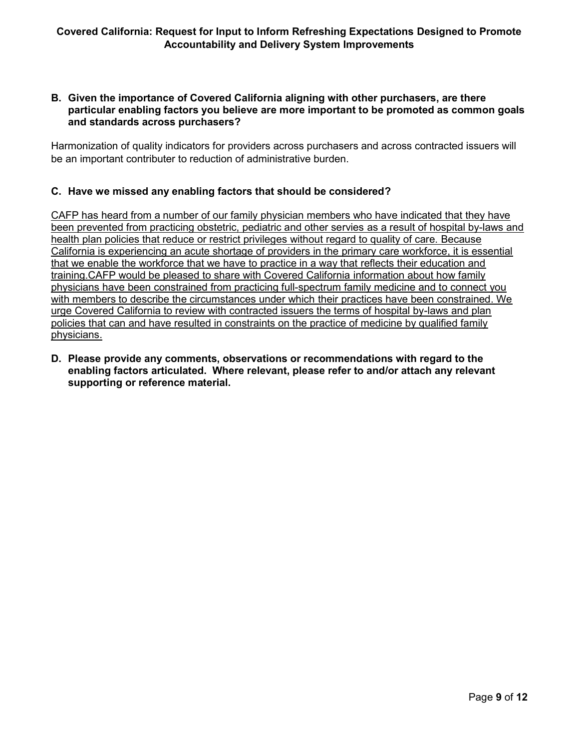### B. Given the importance of Covered California aligning with other purchasers, are there particular enabling factors you believe are more important to be promoted as common goals and standards across purchasers?

Harmonization of quality indicators for providers across purchasers and across contracted issuers will be an important contributer to reduction of administrative burden.

## C. Have we missed any enabling factors that should be considered?

CAFP has heard from a number of our family physician members who have indicated that they have been prevented from practicing obstetric, pediatric and other servies as a result of hospital by-laws and health plan policies that reduce or restrict privileges without regard to quality of care. Because California is experiencing an acute shortage of providers in the primary care workforce, it is essential that we enable the workforce that we have to practice in a way that reflects their education and training.CAFP would be pleased to share with Covered California information about how family physicians have been constrained from practicing full-spectrum family medicine and to connect you with members to describe the circumstances under which their practices have been constrained. We urge Covered California to review with contracted issuers the terms of hospital by-laws and plan policies that can and have resulted in constraints on the practice of medicine by qualified family physicians.

D. Please provide any comments, observations or recommendations with regard to the enabling factors articulated. Where relevant, please refer to and/or attach any relevant supporting or reference material.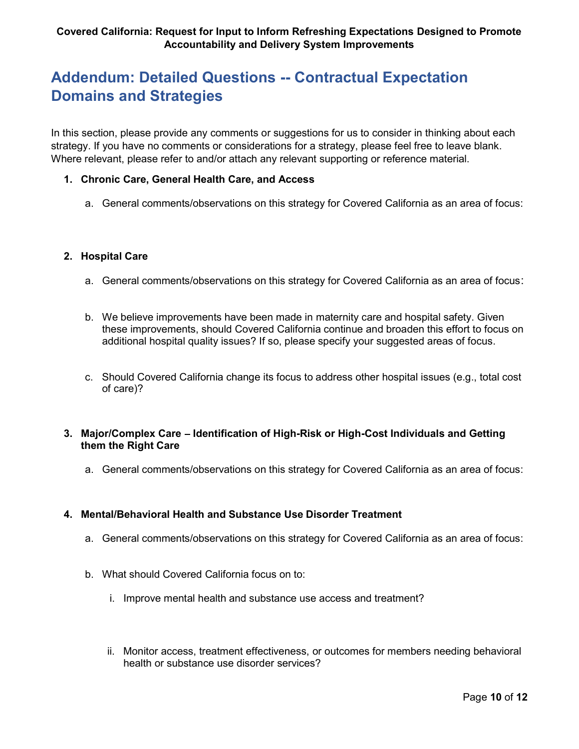# Addendum: Detailed Questions -- Contractual Expectation Domains and Strategies

In this section, please provide any comments or suggestions for us to consider in thinking about each strategy. If you have no comments or considerations for a strategy, please feel free to leave blank. Where relevant, please refer to and/or attach any relevant supporting or reference material.

## 1. Chronic Care, General Health Care, and Access

a. General comments/observations on this strategy for Covered California as an area of focus:

### 2. Hospital Care

- a. General comments/observations on this strategy for Covered California as an area of focus:
- b. We believe improvements have been made in maternity care and hospital safety. Given these improvements, should Covered California continue and broaden this effort to focus on additional hospital quality issues? If so, please specify your suggested areas of focus.
- c. Should Covered California change its focus to address other hospital issues (e.g., total cost of care)?

### 3. Major/Complex Care – Identification of High-Risk or High-Cost Individuals and Getting them the Right Care

a. General comments/observations on this strategy for Covered California as an area of focus:

### 4. Mental/Behavioral Health and Substance Use Disorder Treatment

- a. General comments/observations on this strategy for Covered California as an area of focus:
- b. What should Covered California focus on to:
	- i. Improve mental health and substance use access and treatment?
	- ii. Monitor access, treatment effectiveness, or outcomes for members needing behavioral health or substance use disorder services?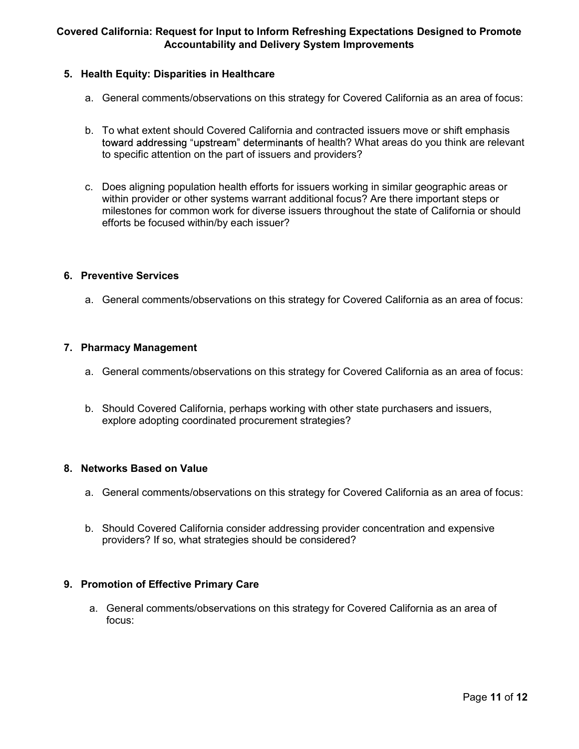## 5. Health Equity: Disparities in Healthcare

- a. General comments/observations on this strategy for Covered California as an area of focus:
- b. To what extent should Covered California and contracted issuers move or shift emphasis toward addressing "upstream" determinants of health? What areas do you think are relevant to specific attention on the part of issuers and providers?
- c. Does aligning population health efforts for issuers working in similar geographic areas or within provider or other systems warrant additional focus? Are there important steps or milestones for common work for diverse issuers throughout the state of California or should efforts be focused within/by each issuer?

## 6. Preventive Services

a. General comments/observations on this strategy for Covered California as an area of focus:

### 7. Pharmacy Management

- a. General comments/observations on this strategy for Covered California as an area of focus:
- b. Should Covered California, perhaps working with other state purchasers and issuers, explore adopting coordinated procurement strategies?

### 8. Networks Based on Value

- a. General comments/observations on this strategy for Covered California as an area of focus:
- b. Should Covered California consider addressing provider concentration and expensive providers? If so, what strategies should be considered?

### 9. Promotion of Effective Primary Care

a. General comments/observations on this strategy for Covered California as an area of focus: